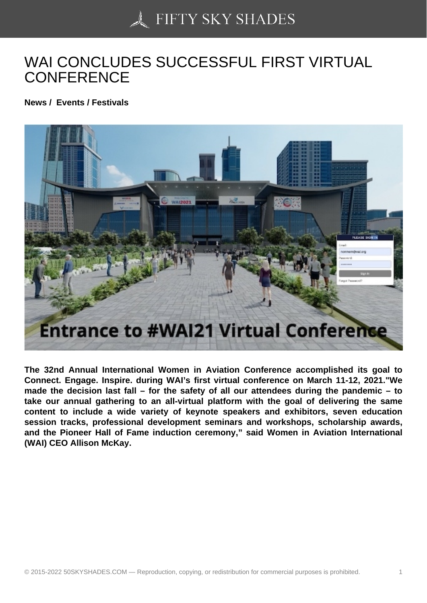## [WAI CONCLUDES SU](https://50skyshades.com)CCESSFUL FIRST VIRTUAL **CONFERENCE**

News / Events / Festivals

The 32nd Annual International Women in Aviation Conference accomplished its goal to Connect. Engage. Inspire. during WAI's first virtual conference on March 11-12, 2021."We made the decision last fall – for the safety of all our attendees during the pandemic – to take our annual gathering to an all-virtual platform with the goal of delivering the same content to include a wide variety of keynote speakers and exhibitors, seven education session tracks, professional development seminars and workshops, scholarship awards, and the Pioneer Hall of Fame induction ceremony," said Women in Aviation International (WAI) CEO Allison McKay.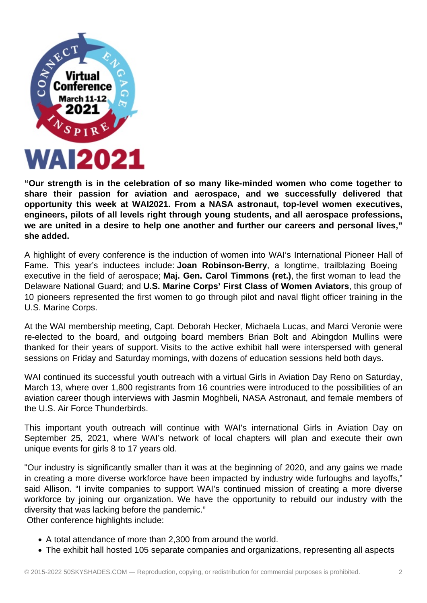

**"Our strength is in the celebration of so many like-minded women who come together to share their passion for aviation and aerospace, and we successfully delivered that opportunity this week at WAI2021. From a NASA astronaut, top-level women executives, engineers, pilots of all levels right through young students, and all aerospace professions, we are united in a desire to help one another and further our careers and personal lives," she added.**

A highlight of every conference is the induction of women into WAI's International Pioneer Hall of Fame. This year's inductees include: **Joan Robinson-Berry**, a longtime, trailblazing Boeing executive in the field of aerospace; **Maj. Gen. Carol Timmons (ret.)**, the first woman to lead the Delaware National Guard; and **U.S. Marine Corps' First Class of Women Aviators**, this group of 10 pioneers represented the first women to go through pilot and naval flight officer training in the U.S. Marine Corps.

At the WAI membership meeting, Capt. Deborah Hecker, Michaela Lucas, and Marci Veronie were re-elected to the board, and outgoing board members Brian Bolt and Abingdon Mullins were thanked for their years of support. Visits to the active exhibit hall were interspersed with general sessions on Friday and Saturday mornings, with dozens of education sessions held both days.

WAI continued its successful youth outreach with a virtual Girls in Aviation Day Reno on Saturday, March 13, where over 1,800 registrants from 16 countries were introduced to the possibilities of an aviation career though interviews with Jasmin Moghbeli, NASA Astronaut, and female members of the U.S. Air Force Thunderbirds.

This important youth outreach will continue with WAI's international Girls in Aviation Day on September 25, 2021, where WAI's network of local chapters will plan and execute their own unique events for girls 8 to 17 years old.

"Our industry is significantly smaller than it was at the beginning of 2020, and any gains we made in creating a more diverse workforce have been impacted by industry wide furloughs and layoffs," said Allison. "I invite companies to support WAI's continued mission of creating a more diverse workforce by joining our organization. We have the opportunity to rebuild our industry with the diversity that was lacking before the pandemic."

Other conference highlights include:

- A total attendance of more than 2,300 from around the world.
- The exhibit hall hosted 105 separate companies and organizations, representing all aspects